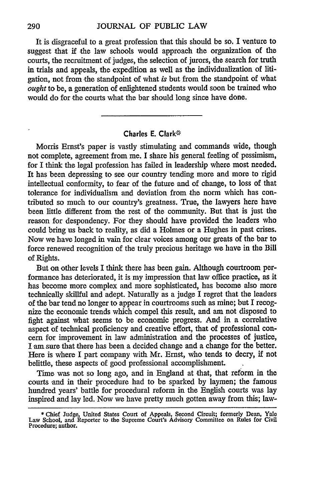It is disgraceful to a great profession that this should be so. I venture to suggest that if the law schools would approach the organization of the courts, the recruitment of judges, the selection of jurors, the search for truth in trials and appeals, the expedition as well as the individualization of litigation, not from the standpoint of what *is* but from the standpoint of what *ought* to be, a generation of enlightened students would soon be trained who would do for the courts what the bar should long since have done.

## **Charles E. Clark\***

Morris Ernst's paper is vastly stimulating and commands wide, though not complete, agreement from me. I share his general feeling of pessimism, for I think the legal profession has failed in leadership where most needed. It has been depressing to see our country tending more and more to rigid intellectual conformity, to fear of the future and of change, to loss of that tolerance for individualism and deviation from the norm which has contributed so much to our country's greatness. True, the lawyers here have been little different from the rest of the community. But that is just the reason for despondency. For they should have provided the leaders who could bring us back to reality, as did a Holmes or a Hughes in past crises. Now we have longed in vain for clear voices among our greats of the bar to force renewed recognition of the truly precious heritage we have in the Bill of Rights.

But on other levels I think there has been gain. Although courtroom performance has deteriorated, it is my impression that law office practice, as it has become more complex and more sophisticated, has become also more technically skillful and adept. Naturally as a judge I regret that the leaders of the bar tend no longer to appear in courtrooms such as mine; but I recognize the economic trends which compel this result, and am not disposed to fight against what seems to be economic progress. And in a correlative aspect of technical proficiency and creative effort, that of professional concern for improvement in law administration and the processes of justice, I am sure that there has been a decided change and a change for the better. Here is where I part company with Mr. Ernst, who tends to decry, if not belittle, these aspects of good professional accomplishment.

Time was not so long ago, and in England at that, that reform in the courts and in their procedure had to be sparked by laymen; the famous hundred years' battle for procedural reform in the English courts was lay inspired and lay led. Now we have pretty much gotten away from this; law-

**<sup>\*</sup>** Chief Judge, United States Court of Appeals, Second Circuit; formerly Dean, Yale Law School, and Reporter to the Supreme Court's Advisory Committee on Rules for Civil Procedure; author.